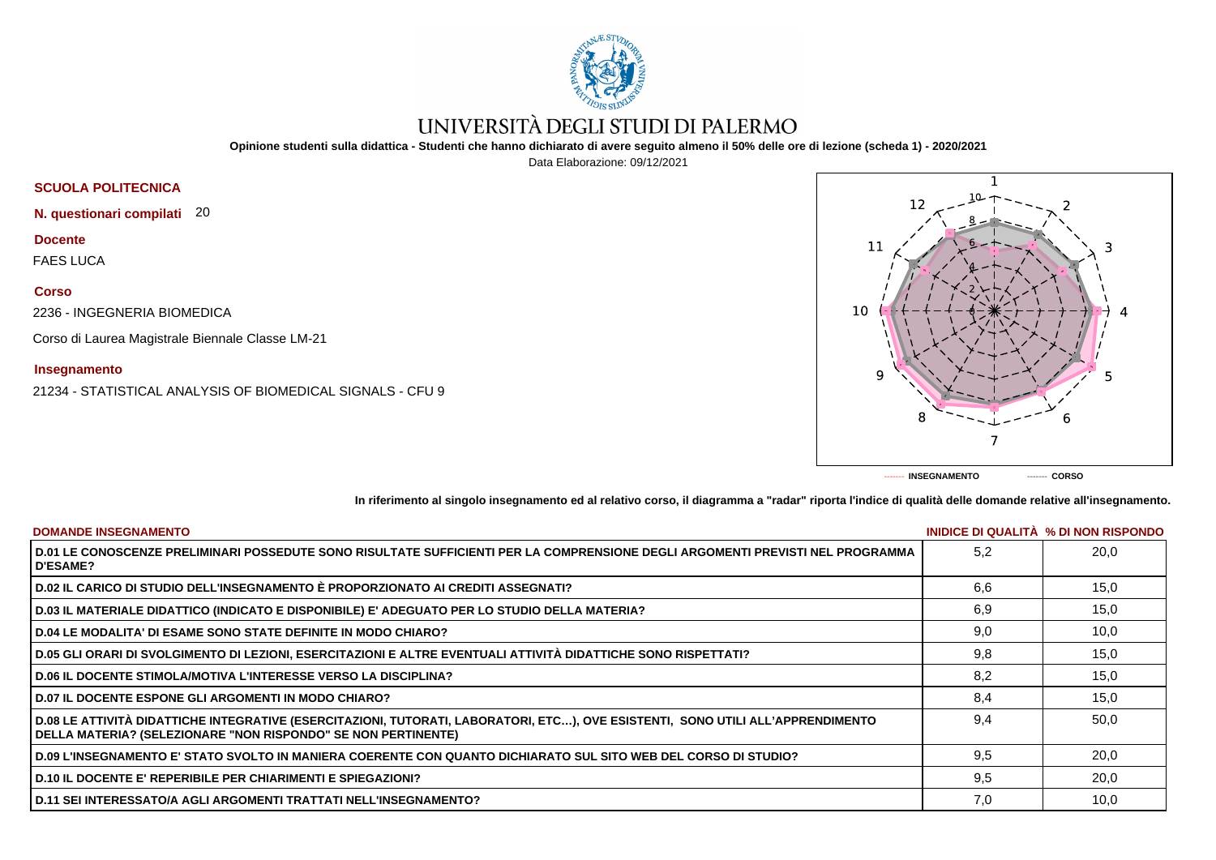

# UNIVERSITÀ DEGLI STUDI DI PALERMO

**Opinione studenti sulla didattica - Studenti che hanno dichiarato di avere seguito almeno il 50% delle ore di lezione (scheda 1) - 2020/2021**

Data Elaborazione: 09/12/2021

## **SCUOLA POLITECNICA**

**N. questionari compilati** 20

**Docente**

FAES LUCA

### **Corso**

2236 - INGEGNERIA BIOMEDICA

Corso di Laurea Magistrale Biennale Classe LM-21

### **Insegnamento**

21234 - STATISTICAL ANALYSIS OF BIOMEDICAL SIGNALS - CFU 9



**In riferimento al singolo insegnamento ed al relativo corso, il diagramma a "radar" riporta l'indice di qualità delle domande relative all'insegnamento.**

| <b>DOMANDE INSEGNAMENTO</b>                                                                                                                                                                      |     | INIDICE DI QUALITA % DI NON RISPONDO |
|--------------------------------------------------------------------------------------------------------------------------------------------------------------------------------------------------|-----|--------------------------------------|
| D.01 LE CONOSCENZE PRELIMINARI POSSEDUTE SONO RISULTATE SUFFICIENTI PER LA COMPRENSIONE DEGLI ARGOMENTI PREVISTI NEL PROGRAMMA<br><b>D'ESAME?</b>                                                | 5.2 | 20,0                                 |
| D.02 IL CARICO DI STUDIO DELL'INSEGNAMENTO È PROPORZIONATO AI CREDITI ASSEGNATI?                                                                                                                 | 6.6 | 15,0                                 |
| D.03 IL MATERIALE DIDATTICO (INDICATO E DISPONIBILE) E' ADEGUATO PER LO STUDIO DELLA MATERIA?                                                                                                    | 6,9 | 15,0                                 |
| <b>D.04 LE MODALITA' DI ESAME SONO STATE DEFINITE IN MODO CHIARO?</b>                                                                                                                            | 9,0 | 10,0                                 |
| D.05 GLI ORARI DI SVOLGIMENTO DI LEZIONI, ESERCITAZIONI E ALTRE EVENTUALI ATTIVITÀ DIDATTICHE SONO RISPETTATI?                                                                                   | 9,8 | 15,0                                 |
| <b>D.06 IL DOCENTE STIMOLA/MOTIVA L'INTERESSE VERSO LA DISCIPLINA?</b>                                                                                                                           | 8.2 | 15,0                                 |
| <b>D.07 IL DOCENTE ESPONE GLI ARGOMENTI IN MODO CHIARO?</b>                                                                                                                                      | 8,4 | 15,0                                 |
| D.08 LE ATTIVITÀ DIDATTICHE INTEGRATIVE (ESERCITAZIONI, TUTORATI, LABORATORI, ETC), OVE ESISTENTI, SONO UTILI ALL'APPRENDIMENTO<br>DELLA MATERIA? (SELEZIONARE "NON RISPONDO" SE NON PERTINENTE) | 9.4 | 50,0                                 |
| D.09 L'INSEGNAMENTO E' STATO SVOLTO IN MANIERA COERENTE CON QUANTO DICHIARATO SUL SITO WEB DEL CORSO DI STUDIO?                                                                                  | 9.5 | 20,0                                 |
| <b>D.10 IL DOCENTE E' REPERIBILE PER CHIARIMENTI E SPIEGAZIONI?</b>                                                                                                                              | 9.5 | 20,0                                 |
| D.11 SEI INTERESSATO/A AGLI ARGOMENTI TRATTATI NELL'INSEGNAMENTO?                                                                                                                                | 7,0 | 10,0                                 |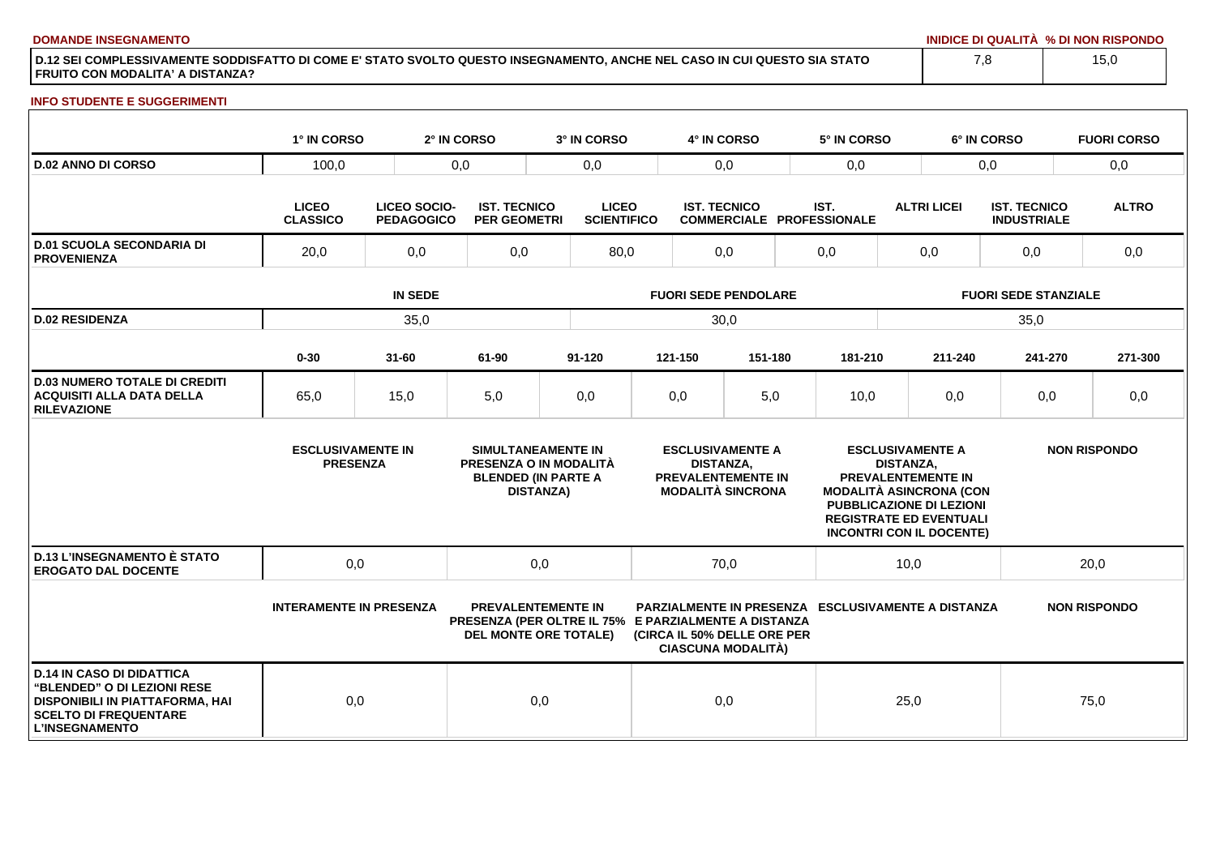**DOMANDE INSEGNAMENTO INIDICE DI QUALITÀ % DI NON RISPONDO**

**D.12 SEI COMPLESSIVAMENTE SODDISFATTO DI COME E' STATO SVOLTO QUESTO INSEGNAMENTO, ANCHE NEL CASO IN CUI QUESTO SIA STATO FRUITO CON MODALITA' A DISTANZA?**

#### **INFO STUDENTE E SUGGERIMENTI**

|                                                                                                                                                                    | 1° IN CORSO                                 |                                          | 2° IN CORSO                                | 3° IN CORSO                                                                                                       |                                                                                                      | 4° IN CORSO                                              |         |                                                                                                                                                                                                             | 5° IN CORSO |                                                           | 6° IN CORSO                               | <b>FUORI CORSO</b>  |  |
|--------------------------------------------------------------------------------------------------------------------------------------------------------------------|---------------------------------------------|------------------------------------------|--------------------------------------------|-------------------------------------------------------------------------------------------------------------------|------------------------------------------------------------------------------------------------------|----------------------------------------------------------|---------|-------------------------------------------------------------------------------------------------------------------------------------------------------------------------------------------------------------|-------------|-----------------------------------------------------------|-------------------------------------------|---------------------|--|
| <b>D.02 ANNO DI CORSO</b>                                                                                                                                          | 100,0                                       |                                          | 0,0                                        | 0,0                                                                                                               | 0,0                                                                                                  |                                                          |         | 0,0                                                                                                                                                                                                         |             |                                                           | 0,0                                       | 0,0                 |  |
|                                                                                                                                                                    | <b>LICEO</b><br><b>CLASSICO</b>             | <b>LICEO SOCIO-</b><br><b>PEDAGOGICO</b> | <b>IST. TECNICO</b><br><b>PER GEOMETRI</b> | <b>LICEO</b><br><b>SCIENTIFICO</b>                                                                                |                                                                                                      | <b>IST. TECNICO</b>                                      |         | IST.<br><b>COMMERCIALE PROFESSIONALE</b>                                                                                                                                                                    |             | <b>ALTRI LICEI</b>                                        | <b>IST. TECNICO</b><br><b>INDUSTRIALE</b> | <b>ALTRO</b>        |  |
| <b>D.01 SCUOLA SECONDARIA DI</b><br><b>PROVENIENZA</b>                                                                                                             | 20,0                                        | 0,0                                      | 0,0                                        |                                                                                                                   | 80,0                                                                                                 |                                                          | 0,0     |                                                                                                                                                                                                             |             | 0,0                                                       | 0,0                                       | 0,0                 |  |
|                                                                                                                                                                    | <b>IN SEDE</b>                              |                                          |                                            |                                                                                                                   | <b>FUORI SEDE PENDOLARE</b>                                                                          |                                                          |         |                                                                                                                                                                                                             |             | <b>FUORI SEDE STANZIALE</b>                               |                                           |                     |  |
| <b>D.02 RESIDENZA</b>                                                                                                                                              | 35,0                                        |                                          |                                            |                                                                                                                   | 30,0                                                                                                 |                                                          |         |                                                                                                                                                                                                             | 35,0        |                                                           |                                           |                     |  |
|                                                                                                                                                                    | $0 - 30$                                    | $31 - 60$                                | 61-90                                      | 91-120                                                                                                            |                                                                                                      | 121-150                                                  | 151-180 |                                                                                                                                                                                                             | 181-210     | 211-240                                                   | 241-270                                   | 271-300             |  |
| <b>D.03 NUMERO TOTALE DI CREDITI</b><br><b>ACQUISITI ALLA DATA DELLA</b><br><b>RILEVAZIONE</b>                                                                     | 65,0                                        | 15,0                                     | 5,0                                        | 0,0                                                                                                               |                                                                                                      | 0,0                                                      | 5,0     |                                                                                                                                                                                                             | 10,0        | 0,0                                                       | 0,0                                       | 0,0                 |  |
|                                                                                                                                                                    | <b>ESCLUSIVAMENTE IN</b><br><b>PRESENZA</b> |                                          |                                            | <b>SIMULTANEAMENTE IN</b><br>PRESENZA O IN MODALITÀ<br><b>BLENDED (IN PARTE A</b><br><b>DISTANZA)</b>             | <b>ESCLUSIVAMENTE A</b><br><b>DISTANZA.</b><br><b>PREVALENTEMENTE IN</b><br><b>MODALITÀ SINCRONA</b> |                                                          |         | <b>ESCLUSIVAMENTE A</b><br><b>DISTANZA.</b><br>PREVALENTEMENTE IN<br><b>MODALITÀ ASINCRONA (CON</b><br><b>PUBBLICAZIONE DI LEZIONI</b><br><b>REGISTRATE ED EVENTUALI</b><br><b>INCONTRI CON IL DOCENTE)</b> |             |                                                           | <b>NON RISPONDO</b>                       |                     |  |
| <b>D.13 L'INSEGNAMENTO È STATO</b><br><b>EROGATO DAL DOCENTE</b>                                                                                                   | 0,0                                         |                                          |                                            | 0,0<br>70,0                                                                                                       |                                                                                                      | 10,0                                                     |         | 20,0                                                                                                                                                                                                        |             |                                                           |                                           |                     |  |
|                                                                                                                                                                    | <b>INTERAMENTE IN PRESENZA</b>              |                                          |                                            | <b>PREVALENTEMENTE IN</b><br>PRESENZA (PER OLTRE IL 75% E PARZIALMENTE A DISTANZA<br><b>DEL MONTE ORE TOTALE)</b> |                                                                                                      | (CIRCA IL 50% DELLE ORE PER<br><b>CIASCUNA MODALITÀ)</b> |         |                                                                                                                                                                                                             |             | <b>PARZIALMENTE IN PRESENZA ESCLUSIVAMENTE A DISTANZA</b> |                                           | <b>NON RISPONDO</b> |  |
| <b>D.14 IN CASO DI DIDATTICA</b><br>"BLENDED" O DI LEZIONI RESE<br><b>DISPONIBILI IN PIATTAFORMA, HAI</b><br><b>SCELTO DI FREQUENTARE</b><br><b>L'INSEGNAMENTO</b> | 0,0                                         |                                          |                                            | 0,0                                                                                                               |                                                                                                      | 0,0                                                      |         |                                                                                                                                                                                                             |             | 25,0                                                      |                                           | 75,0                |  |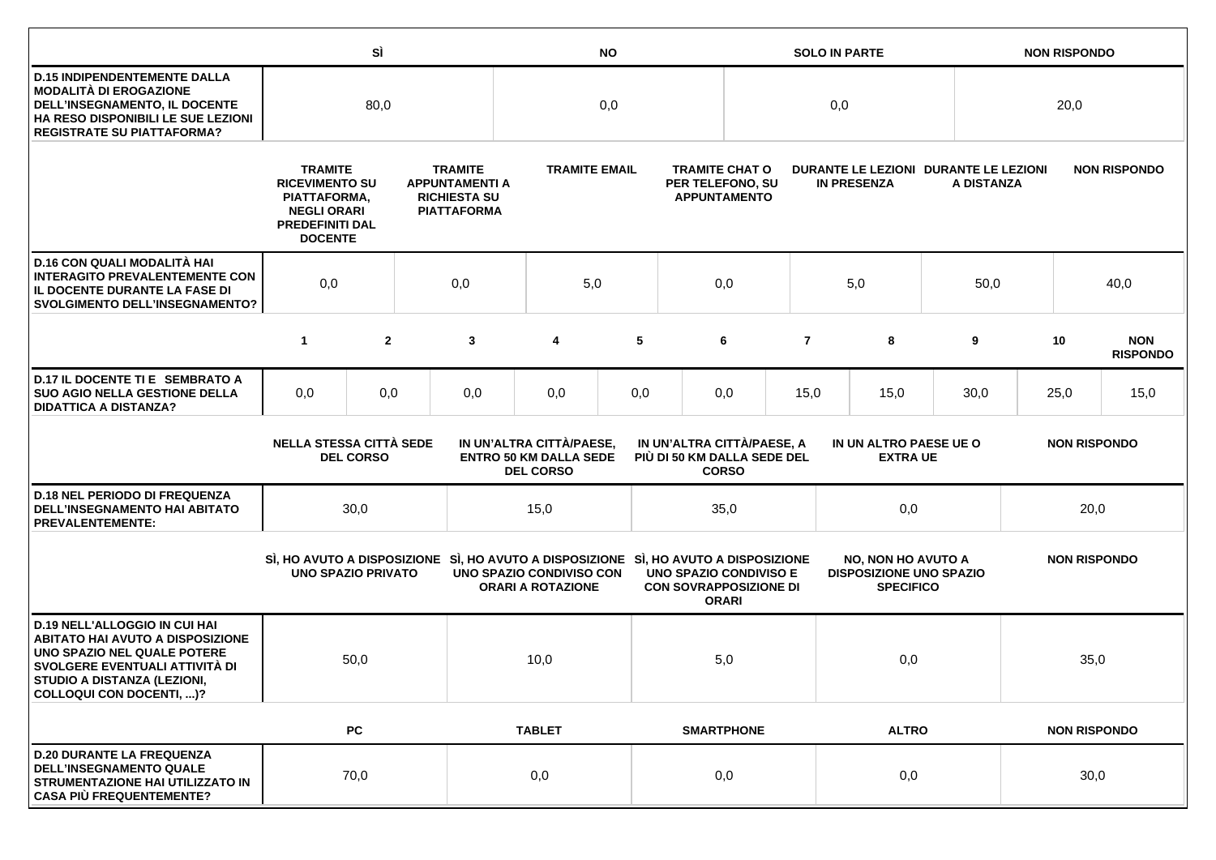|                                                                                                                                                                                                             |                                                                                                                                                                                                                   | SÌ               | <b>NO</b> |                                                                                                                 |                                                                               |                                              | <b>SOLO IN PARTE</b>                                           |                   |                |                                                                                 | <b>NON RISPONDO</b>               |      |                     |      |                               |  |      |                     |  |
|-------------------------------------------------------------------------------------------------------------------------------------------------------------------------------------------------------------|-------------------------------------------------------------------------------------------------------------------------------------------------------------------------------------------------------------------|------------------|-----------|-----------------------------------------------------------------------------------------------------------------|-------------------------------------------------------------------------------|----------------------------------------------|----------------------------------------------------------------|-------------------|----------------|---------------------------------------------------------------------------------|-----------------------------------|------|---------------------|------|-------------------------------|--|------|---------------------|--|
| <b>D.15 INDIPENDENTEMENTE DALLA</b><br><b>MODALITÀ DI EROGAZIONE</b><br>DELL'INSEGNAMENTO, IL DOCENTE<br>HA RESO DISPONIBILI LE SUE LEZIONI<br><b>REGISTRATE SU PIATTAFORMA?</b>                            | 80,0                                                                                                                                                                                                              |                  |           | 0,0                                                                                                             |                                                                               |                                              |                                                                | 0,0               |                |                                                                                 |                                   | 20,0 |                     |      |                               |  |      |                     |  |
|                                                                                                                                                                                                             | <b>TRAMITE</b><br><b>TRAMITE</b><br><b>RICEVIMENTO SU</b><br><b>APPUNTAMENTI A</b><br><b>RICHIESTA SU</b><br>PIATTAFORMA,<br><b>NEGLI ORARI</b><br><b>PIATTAFORMA</b><br><b>PREDEFINITI DAL</b><br><b>DOCENTE</b> |                  |           | <b>TRAMITE EMAIL</b><br>PER TELEFONO, SU                                                                        |                                                                               | <b>TRAMITE CHAT O</b><br><b>APPUNTAMENTO</b> | DURANTE LE LEZIONI DURANTE LE LEZIONI<br><b>IN PRESENZA</b>    |                   |                |                                                                                 | <b>NON RISPONDO</b><br>A DISTANZA |      |                     |      |                               |  |      |                     |  |
| D.16 CON QUALI MODALITÀ HAI<br><b>INTERAGITO PREVALENTEMENTE CON</b><br>IL DOCENTE DURANTE LA FASE DI<br><b>SVOLGIMENTO DELL'INSEGNAMENTO?</b>                                                              | 0,0                                                                                                                                                                                                               |                  | 0,0       | 5,0                                                                                                             |                                                                               | 0,0                                          |                                                                |                   | 5,0            |                                                                                 | 50,0                              | 40,0 |                     |      |                               |  |      |                     |  |
|                                                                                                                                                                                                             | $\mathbf{1}$                                                                                                                                                                                                      | $\overline{2}$   |           | 3                                                                                                               | 4                                                                             | 5                                            |                                                                | 6                 | $\overline{7}$ |                                                                                 | 8                                 | 9    |                     | 10   | <b>NON</b><br><b>RISPONDO</b> |  |      |                     |  |
| D.17 IL DOCENTE TI E SEMBRATO A<br><b>SUO AGIO NELLA GESTIONE DELLA</b><br><b>DIDATTICA A DISTANZA?</b>                                                                                                     | 0,0                                                                                                                                                                                                               | 0,0              |           | 0,0                                                                                                             | 0,0                                                                           | 0,0                                          |                                                                | 0,0               | 15,0           | 15,0                                                                            |                                   | 30,0 |                     | 25,0 | 15,0                          |  |      |                     |  |
|                                                                                                                                                                                                             | <b>NELLA STESSA CITTÀ SEDE</b>                                                                                                                                                                                    | <b>DEL CORSO</b> |           |                                                                                                                 | IN UN'ALTRA CITTÀ/PAESE,<br><b>ENTRO 50 KM DALLA SEDE</b><br><b>DEL CORSO</b> |                                              | IN UN'ALTRA CITTÀ/PAESE, A<br>PIÙ DI 50 KM DALLA SEDE DEL      | <b>CORSO</b>      |                | IN UN ALTRO PAESE UE O<br><b>EXTRA UE</b>                                       |                                   |      | <b>NON RISPONDO</b> |      |                               |  |      |                     |  |
| <b>D.18 NEL PERIODO DI FREQUENZA</b><br>DELL'INSEGNAMENTO HAI ABITATO<br><b>PREVALENTEMENTE:</b>                                                                                                            |                                                                                                                                                                                                                   | 30,0             |           |                                                                                                                 | 15,0                                                                          |                                              |                                                                | 35,0              |                | 0,0                                                                             |                                   | 20,0 |                     |      |                               |  |      |                     |  |
|                                                                                                                                                                                                             | <b>UNO SPAZIO PRIVATO</b>                                                                                                                                                                                         |                  |           | SI, HO AVUTO A DISPOSIZIONE SI, HO AVUTO A DISPOSIZIONE SI, HO AVUTO A DISPOSIZIONE<br>UNO SPAZIO CONDIVISO CON | <b>ORARI A ROTAZIONE</b>                                                      |                                              | <b>UNO SPAZIO CONDIVISO E</b><br><b>CON SOVRAPPOSIZIONE DI</b> | <b>ORARI</b>      |                | <b>NO, NON HO AVUTO A</b><br><b>DISPOSIZIONE UNO SPAZIO</b><br><b>SPECIFICO</b> |                                   |      |                     |      |                               |  |      | <b>NON RISPONDO</b> |  |
| <b>D.19 NELL'ALLOGGIO IN CUI HAI</b><br><b>ABITATO HAI AVUTO A DISPOSIZIONE</b><br>UNO SPAZIO NEL QUALE POTERE<br>SVOLGERE EVENTUALI ATTIVITÀ DI<br>STUDIO A DISTANZA (LEZIONI,<br>COLLOQUI CON DOCENTI, )? |                                                                                                                                                                                                                   | 50,0             |           |                                                                                                                 | 5,0<br>0,0                                                                    |                                              | 10,0                                                           |                   |                |                                                                                 |                                   |      |                     |      |                               |  | 35,0 |                     |  |
|                                                                                                                                                                                                             |                                                                                                                                                                                                                   | PC               |           |                                                                                                                 | <b>TABLET</b>                                                                 |                                              |                                                                | <b>SMARTPHONE</b> | <b>ALTRO</b>   |                                                                                 |                                   |      | <b>NON RISPONDO</b> |      |                               |  |      |                     |  |
| <b>D.20 DURANTE LA FREQUENZA</b><br><b>DELL'INSEGNAMENTO QUALE</b><br>STRUMENTAZIONE HAI UTILIZZATO IN<br><b>CASA PIÙ FREQUENTEMENTE?</b>                                                                   |                                                                                                                                                                                                                   | 70,0             |           |                                                                                                                 | 0,0                                                                           |                                              |                                                                | 0,0               |                | 0,0                                                                             |                                   |      | 30,0                |      |                               |  |      |                     |  |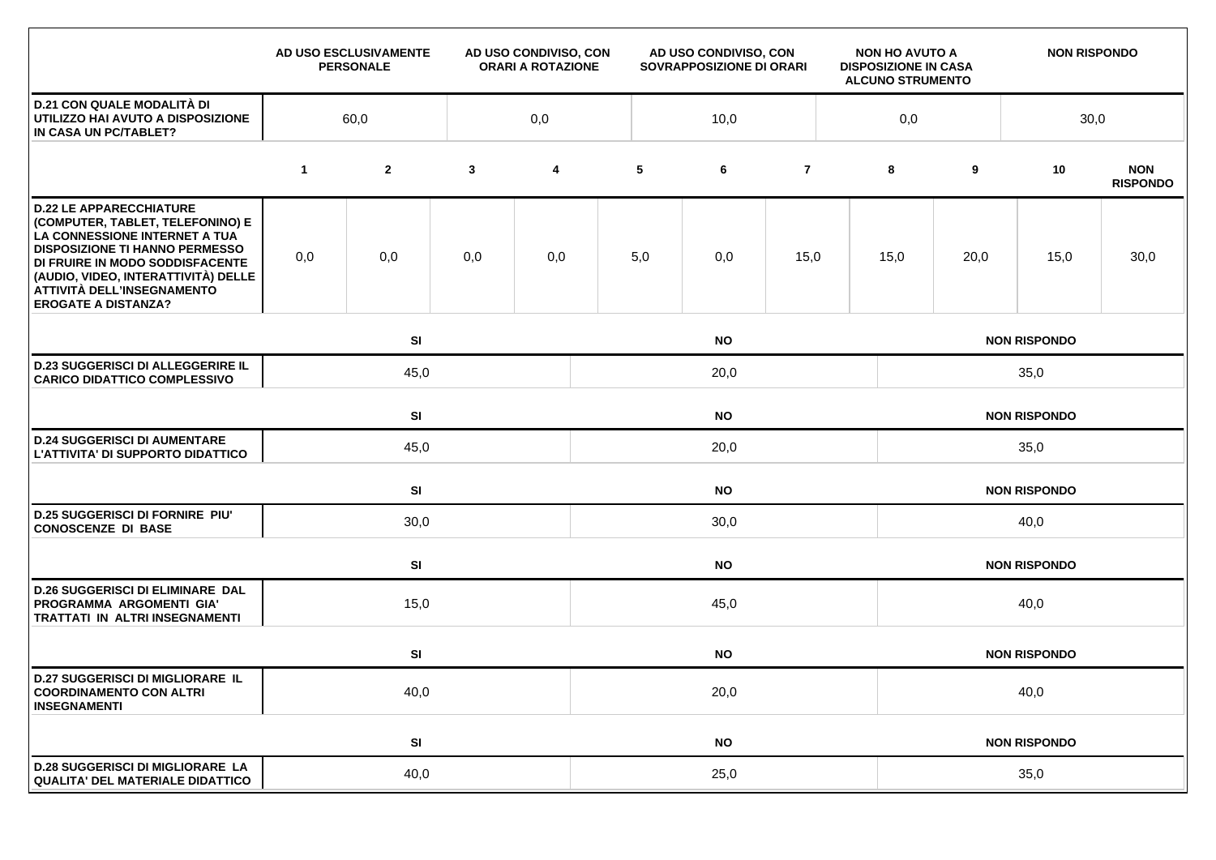|                                                                                                                                                                                                                                                                                    |             | AD USO ESCLUSIVAMENTE<br><b>PERSONALE</b> |              | AD USO CONDIVISO, CON<br><b>ORARI A ROTAZIONE</b> | AD USO CONDIVISO, CON<br>SOVRAPPOSIZIONE DI ORARI |      |                | <b>NON HO AVUTO A</b><br><b>DISPOSIZIONE IN CASA</b><br><b>ALCUNO STRUMENTO</b> |                     | <b>NON RISPONDO</b> |                     |                               |  |  |
|------------------------------------------------------------------------------------------------------------------------------------------------------------------------------------------------------------------------------------------------------------------------------------|-------------|-------------------------------------------|--------------|---------------------------------------------------|---------------------------------------------------|------|----------------|---------------------------------------------------------------------------------|---------------------|---------------------|---------------------|-------------------------------|--|--|
| <b>D.21 CON QUALE MODALITÀ DI</b><br>UTILIZZO HAI AVUTO A DISPOSIZIONE<br>IN CASA UN PC/TABLET?                                                                                                                                                                                    | 60,0        |                                           |              | 0,0                                               |                                                   | 10,0 |                | 0,0                                                                             |                     |                     | 30,0                |                               |  |  |
|                                                                                                                                                                                                                                                                                    | $\mathbf 1$ | $\mathbf{2}$                              | $\mathbf{3}$ | 4                                                 | 5                                                 | 6    | $\overline{7}$ |                                                                                 | 8                   | 9                   | 10                  | <b>NON</b><br><b>RISPONDO</b> |  |  |
| <b>D.22 LE APPARECCHIATURE</b><br>(COMPUTER, TABLET, TELEFONINO) E<br>LA CONNESSIONE INTERNET A TUA<br><b>DISPOSIZIONE TI HANNO PERMESSO</b><br>DI FRUIRE IN MODO SODDISFACENTE<br>(AUDIO, VIDEO, INTERATTIVITÀ) DELLE<br>ATTIVITÀ DELL'INSEGNAMENTO<br><b>EROGATE A DISTANZA?</b> | 0,0         | 0,0                                       | 0,0          | 0,0                                               | 5,0                                               | 0,0  | 15,0           |                                                                                 | 15,0                | 20,0                | 15,0                | 30,0                          |  |  |
|                                                                                                                                                                                                                                                                                    |             | SI<br><b>NO</b>                           |              |                                                   |                                                   |      |                |                                                                                 | <b>NON RISPONDO</b> |                     |                     |                               |  |  |
| <b>D.23 SUGGERISCI DI ALLEGGERIRE IL</b><br><b>CARICO DIDATTICO COMPLESSIVO</b>                                                                                                                                                                                                    | 45,0        |                                           |              |                                                   |                                                   |      | 20,0           |                                                                                 |                     |                     | 35,0                |                               |  |  |
|                                                                                                                                                                                                                                                                                    |             | SI<br><b>NO</b>                           |              |                                                   |                                                   |      |                |                                                                                 | <b>NON RISPONDO</b> |                     |                     |                               |  |  |
| <b>D.24 SUGGERISCI DI AUMENTARE</b><br>L'ATTIVITA' DI SUPPORTO DIDATTICO                                                                                                                                                                                                           |             | 45,0                                      |              |                                                   | 20,0                                              |      |                |                                                                                 |                     | 35,0                |                     |                               |  |  |
|                                                                                                                                                                                                                                                                                    |             | SI<br><b>NO</b>                           |              |                                                   |                                                   |      |                |                                                                                 |                     |                     | <b>NON RISPONDO</b> |                               |  |  |
| <b>D.25 SUGGERISCI DI FORNIRE PIU'</b><br><b>CONOSCENZE DI BASE</b>                                                                                                                                                                                                                |             | 30,0                                      |              |                                                   | 30,0                                              |      |                |                                                                                 |                     | 40,0                |                     |                               |  |  |
|                                                                                                                                                                                                                                                                                    |             | SI                                        | <b>NO</b>    |                                                   |                                                   |      |                |                                                                                 | <b>NON RISPONDO</b> |                     |                     |                               |  |  |
| <b>D.26 SUGGERISCI DI ELIMINARE DAL</b><br>PROGRAMMA ARGOMENTI GIA'<br>TRATTATI IN ALTRI INSEGNAMENTI                                                                                                                                                                              |             | 15,0                                      |              |                                                   | 45,0                                              |      |                |                                                                                 |                     | 40,0                |                     |                               |  |  |
|                                                                                                                                                                                                                                                                                    |             | SI<br><b>NO</b>                           |              |                                                   |                                                   |      |                |                                                                                 | <b>NON RISPONDO</b> |                     |                     |                               |  |  |
| <b>D.27 SUGGERISCI DI MIGLIORARE IL</b><br><b>COORDINAMENTO CON ALTRI</b><br><b>INSEGNAMENTI</b>                                                                                                                                                                                   | 40,0        |                                           |              |                                                   | 20,0                                              |      |                |                                                                                 | 40,0                |                     |                     |                               |  |  |
|                                                                                                                                                                                                                                                                                    |             | SI                                        |              |                                                   | <b>NO</b>                                         |      |                |                                                                                 |                     | <b>NON RISPONDO</b> |                     |                               |  |  |
| <b>D.28 SUGGERISCI DI MIGLIORARE LA</b><br><b>QUALITA' DEL MATERIALE DIDATTICO</b>                                                                                                                                                                                                 | 40,0        |                                           |              |                                                   | 25,0                                              |      |                |                                                                                 |                     | 35,0                |                     |                               |  |  |